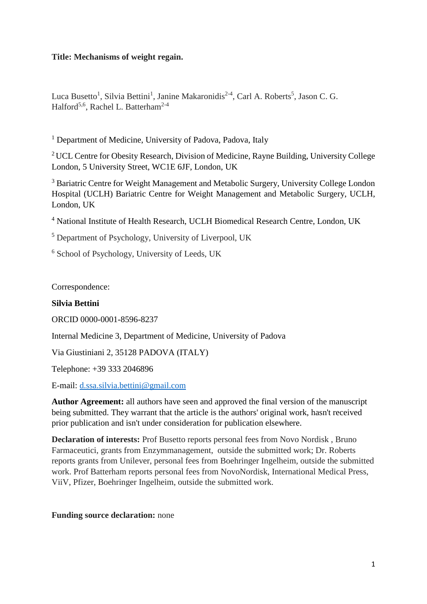## **Title: Mechanisms of weight regain.**

Luca Busetto<sup>1</sup>, Silvia Bettini<sup>1</sup>, Janine Makaronidis<sup>2-4</sup>, Carl A. Roberts<sup>5</sup>, Jason C. G. Halford<sup>5,6</sup>, Rachel L. Batterham<sup>2-4</sup>

<sup>1</sup> Department of Medicine, University of Padova, Padova, Italy

<sup>2</sup> UCL Centre for Obesity Research, Division of Medicine, Rayne Building, University College London, 5 University Street, WC1E 6JF, London, UK

<sup>3</sup> Bariatric Centre for Weight Management and Metabolic Surgery, University College London Hospital (UCLH) Bariatric Centre for Weight Management and Metabolic Surgery, UCLH, London, UK

<sup>4</sup> National Institute of Health Research, UCLH Biomedical Research Centre, London, UK

<sup>5</sup> Department of Psychology, University of Liverpool, UK

<sup>6</sup> School of Psychology, University of Leeds, UK

Correspondence:

## **Silvia Bettini**

ORCID 0000-0001-8596-8237

Internal Medicine 3, Department of Medicine, University of Padova

Via Giustiniani 2, 35128 PADOVA (ITALY)

Telephone: +39 333 2046896

E-mail: [d.ssa.silvia.bettini@gmail.com](mailto:d.ssa.silvia.bettini@gmail.com)

**Author Agreement:** all authors have seen and approved the final version of the manuscript being submitted. They warrant that the article is the authors' original work, hasn't received prior publication and isn't under consideration for publication elsewhere.

**Declaration of interests:** Prof Busetto reports personal fees from Novo Nordisk , Bruno Farmaceutici, grants from Enzymmanagement, outside the submitted work; Dr. Roberts reports grants from Unilever, personal fees from Boehringer Ingelheim, outside the submitted work. Prof Batterham reports personal fees from NovoNordisk, International Medical Press, ViiV, Pfizer, Boehringer Ingelheim, outside the submitted work.

### **Funding source declaration:** none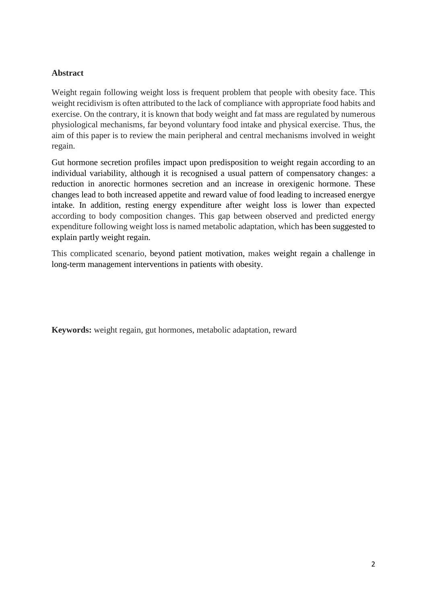## **Abstract**

Weight regain following weight loss is frequent problem that people with obesity face. This weight recidivism is often attributed to the lack of compliance with appropriate food habits and exercise. On the contrary, it is known that body weight and fat mass are regulated by numerous physiological mechanisms, far beyond voluntary food intake and physical exercise. Thus, the aim of this paper is to review the main peripheral and central mechanisms involved in weight regain.

Gut hormone secretion profiles impact upon predisposition to weight regain according to an individual variability, although it is recognised a usual pattern of compensatory changes: a reduction in anorectic hormones secretion and an increase in orexigenic hormone. These changes lead to both increased appetite and reward value of food leading to increased energye intake. In addition, resting energy expenditure after weight loss is lower than expected according to body composition changes. This gap between observed and predicted energy expenditure following weight loss is named metabolic adaptation, which has been suggested to explain partly weight regain.

This complicated scenario, beyond patient motivation, makes weight regain a challenge in long-term management interventions in patients with obesity.

**Keywords:** weight regain, gut hormones, metabolic adaptation, reward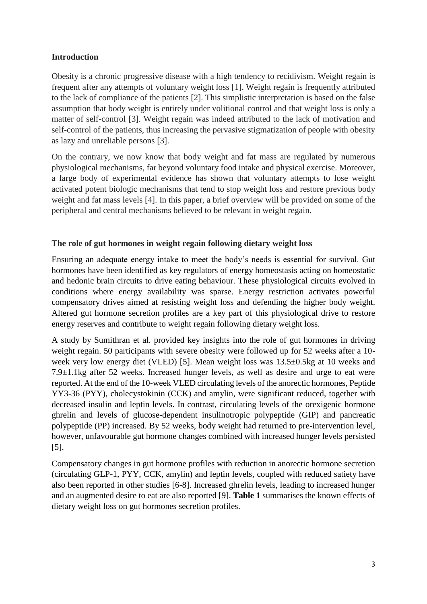## **Introduction**

Obesity is a chronic progressive disease with a high tendency to recidivism. Weight regain is frequent after any attempts of voluntary weight loss [1]. Weight regain is frequently attributed to the lack of compliance of the patients [2]. This simplistic interpretation is based on the false assumption that body weight is entirely under volitional control and that weight loss is only a matter of self-control [3]. Weight regain was indeed attributed to the lack of motivation and self-control of the patients, thus increasing the pervasive stigmatization of people with obesity as lazy and unreliable persons [3].

On the contrary, we now know that body weight and fat mass are regulated by numerous physiological mechanisms, far beyond voluntary food intake and physical exercise. Moreover, a large body of experimental evidence has shown that voluntary attempts to lose weight activated potent biologic mechanisms that tend to stop weight loss and restore previous body weight and fat mass levels [4]. In this paper, a brief overview will be provided on some of the peripheral and central mechanisms believed to be relevant in weight regain.

## **The role of gut hormones in weight regain following dietary weight loss**

Ensuring an adequate energy intake to meet the body's needs is essential for survival. Gut hormones have been identified as key regulators of energy homeostasis acting on homeostatic and hedonic brain circuits to drive eating behaviour. These physiological circuits evolved in conditions where energy availability was sparse. Energy restriction activates powerful compensatory drives aimed at resisting weight loss and defending the higher body weight. Altered gut hormone secretion profiles are a key part of this physiological drive to restore energy reserves and contribute to weight regain following dietary weight loss.

A study by Sumithran et al. provided key insights into the role of gut hormones in driving weight regain. 50 participants with severe obesity were followed up for 52 weeks after a 10 week very low energy diet (VLED) [5]. Mean weight loss was 13.5±0.5kg at 10 weeks and 7.9±1.1kg after 52 weeks. Increased hunger levels, as well as desire and urge to eat were reported. At the end of the 10-week VLED circulating levels of the anorectic hormones, Peptide YY3-36 (PYY), cholecystokinin (CCK) and amylin, were significant reduced, together with decreased insulin and leptin levels. In contrast, circulating levels of the orexigenic hormone ghrelin and levels of glucose-dependent insulinotropic polypeptide (GIP) and pancreatic polypeptide (PP) increased. By 52 weeks, body weight had returned to pre-intervention level, however, unfavourable gut hormone changes combined with increased hunger levels persisted [5].

Compensatory changes in gut hormone profiles with reduction in anorectic hormone secretion (circulating GLP-1, PYY, CCK, amylin) and leptin levels, coupled with reduced satiety have also been reported in other studies [6-8]. Increased ghrelin levels, leading to increased hunger and an augmented desire to eat are also reported [9]. **Table 1** summarises the known effects of dietary weight loss on gut hormones secretion profiles.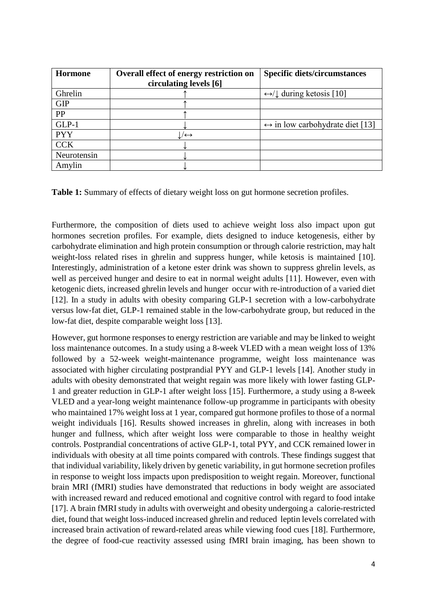| <b>Hormone</b> | Overall effect of energy restriction on<br>circulating levels [6] | <b>Specific diets/circumstances</b>             |
|----------------|-------------------------------------------------------------------|-------------------------------------------------|
| Ghrelin        |                                                                   | $\leftrightarrow$ / during ketosis [10]         |
| <b>GIP</b>     |                                                                   |                                                 |
| PP             |                                                                   |                                                 |
| $GLP-1$        |                                                                   | $\leftrightarrow$ in low carbohydrate diet [13] |
| <b>PYY</b>     | $\leftrightarrow$                                                 |                                                 |
| <b>CCK</b>     |                                                                   |                                                 |
| Neurotensin    |                                                                   |                                                 |
| Amylin         |                                                                   |                                                 |

**Table 1:** Summary of effects of dietary weight loss on gut hormone secretion profiles.

Furthermore, the composition of diets used to achieve weight loss also impact upon gut hormones secretion profiles. For example, diets designed to induce ketogenesis, either by carbohydrate elimination and high protein consumption or through calorie restriction, may halt weight-loss related rises in ghrelin and suppress hunger, while ketosis is maintained [10]. Interestingly, administration of a ketone ester drink was shown to suppress ghrelin levels, as well as perceived hunger and desire to eat in normal weight adults [11]. However, even with ketogenic diets, increased ghrelin levels and hunger occur with re-introduction of a varied diet [12]. In a study in adults with obesity comparing GLP-1 secretion with a low-carbohydrate versus low-fat diet, GLP-1 remained stable in the low-carbohydrate group, but reduced in the low-fat diet, despite comparable weight loss [13].

However, gut hormone responses to energy restriction are variable and may be linked to weight loss maintenance outcomes. In a study using a 8-week VLED with a mean weight loss of 13% followed by a 52-week weight-maintenance programme, weight loss maintenance was associated with higher circulating postprandial PYY and GLP-1 levels [14]. Another study in adults with obesity demonstrated that weight regain was more likely with lower fasting GLP-1 and greater reduction in GLP-1 after weight loss [15]. Furthermore, a study using a 8-week VLED and a year-long weight maintenance follow-up programme in participants with obesity who maintained 17% weight loss at 1 year, compared gut hormone profiles to those of a normal weight individuals [16]. Results showed increases in ghrelin, along with increases in both hunger and fullness, which after weight loss were comparable to those in healthy weight controls. Postprandial concentrations of active GLP-1, total PYY, and CCK remained lower in individuals with obesity at all time points compared with controls. These findings suggest that that individual variability, likely driven by genetic variability, in gut hormone secretion profiles in response to weight loss impacts upon predisposition to weight regain. Moreover, functional brain MRI (fMRI) studies have demonstrated that reductions in body weight are associated with increased reward and reduced emotional and cognitive control with regard to food intake [17]. A brain fMRI study in adults with overweight and obesity undergoing a calorie-restricted diet, found that weight loss-induced increased ghrelin and reduced leptin levels correlated with increased brain activation of reward-related areas while viewing food cues [18]. Furthermore, the degree of food-cue reactivity assessed using fMRI brain imaging, has been shown to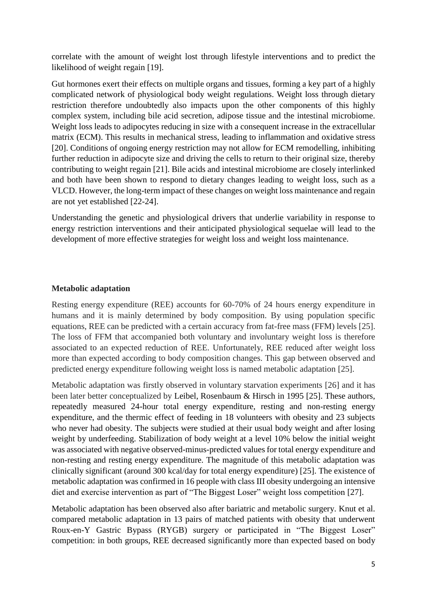correlate with the amount of weight lost through lifestyle interventions and to predict the likelihood of weight regain [19].

Gut hormones exert their effects on multiple organs and tissues, forming a key part of a highly complicated network of physiological body weight regulations. Weight loss through dietary restriction therefore undoubtedly also impacts upon the other components of this highly complex system, including bile acid secretion, adipose tissue and the intestinal microbiome. Weight loss leads to adipocytes reducing in size with a consequent increase in the extracellular matrix (ECM). This results in mechanical stress, leading to inflammation and oxidative stress [20]. Conditions of ongoing energy restriction may not allow for ECM remodelling, inhibiting further reduction in adipocyte size and driving the cells to return to their original size, thereby contributing to weight regain [21]. Bile acids and intestinal microbiome are closely interlinked and both have been shown to respond to dietary changes leading to weight loss, such as a VLCD. However, the long-term impact of these changes on weight loss maintenance and regain are not yet established [22-24].

Understanding the genetic and physiological drivers that underlie variability in response to energy restriction interventions and their anticipated physiological sequelae will lead to the development of more effective strategies for weight loss and weight loss maintenance.

## **Metabolic adaptation**

Resting energy expenditure (REE) accounts for 60-70% of 24 hours energy expenditure in humans and it is mainly determined by body composition. By using population specific equations, REE can be predicted with a certain accuracy from fat-free mass (FFM) levels [25]. The loss of FFM that accompanied both voluntary and involuntary weight loss is therefore associated to an expected reduction of REE. Unfortunately, REE reduced after weight loss more than expected according to body composition changes. This gap between observed and predicted energy expenditure following weight loss is named metabolic adaptation [25].

Metabolic adaptation was firstly observed in voluntary starvation experiments [26] and it has been later better conceptualized by Leibel, Rosenbaum & Hirsch in 1995 [25]. These authors, repeatedly measured 24-hour total energy expenditure, resting and non-resting energy expenditure, and the thermic effect of feeding in 18 volunteers with obesity and 23 subjects who never had obesity. The subjects were studied at their usual body weight and after losing weight by underfeeding. Stabilization of body weight at a level 10% below the initial weight was associated with negative observed-minus-predicted values for total energy expenditure and non-resting and resting energy expenditure. The magnitude of this metabolic adaptation was clinically significant (around 300 kcal/day for total energy expenditure) [25]. The existence of metabolic adaptation was confirmed in 16 people with class III obesity undergoing an intensive diet and exercise intervention as part of "The Biggest Loser" weight loss competition [27].

Metabolic adaptation has been observed also after bariatric and metabolic surgery. Knut et al. compared metabolic adaptation in 13 pairs of matched patients with obesity that underwent Roux-en-Y Gastric Bypass (RYGB) surgery or participated in "The Biggest Loser" competition: in both groups, REE decreased significantly more than expected based on body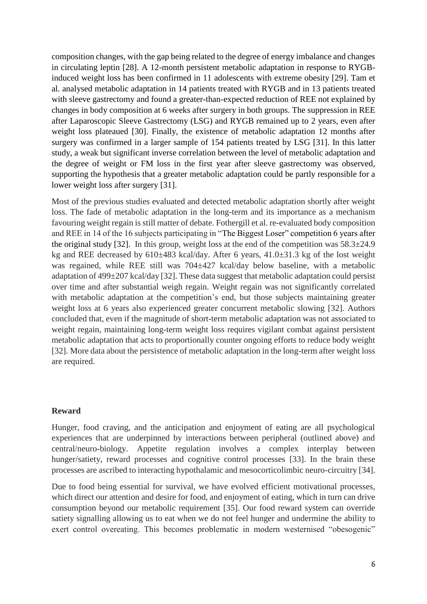composition changes, with the gap being related to the degree of energy imbalance and changes in circulating leptin [28]. A 12-month persistent metabolic adaptation in response to RYGBinduced weight loss has been confirmed in 11 adolescents with extreme obesity [29]. Tam et al. analysed metabolic adaptation in 14 patients treated with RYGB and in 13 patients treated with sleeve gastrectomy and found a greater-than-expected reduction of REE not explained by changes in body composition at 6 weeks after surgery in both groups. The suppression in REE after Laparoscopic Sleeve Gastrectomy (LSG) and RYGB remained up to 2 years, even after weight loss plateaued [30]. Finally, the existence of metabolic adaptation 12 months after surgery was confirmed in a larger sample of 154 patients treated by LSG [31]. In this latter study, a weak but significant inverse correlation between the level of metabolic adaptation and the degree of weight or FM loss in the first year after sleeve gastrectomy was observed, supporting the hypothesis that a greater metabolic adaptation could be partly responsible for a lower weight loss after surgery [31].

Most of the previous studies evaluated and detected metabolic adaptation shortly after weight loss. The fade of metabolic adaptation in the long-term and its importance as a mechanism favouring weight regain is still matter of debate. Fothergill et al. re-evaluated body composition and REE in 14 of the 16 subjects participating in "The Biggest Loser" competition 6 years after the original study [32]. In this group, weight loss at the end of the competition was  $58.3\pm 24.9$ kg and REE decreased by  $610\pm483$  kcal/day. After 6 years,  $41.0\pm31.3$  kg of the lost weight was regained, while REE still was 704±427 kcal/day below baseline, with a metabolic adaptation of 499±207 kcal/day [32]. These data suggest that metabolic adaptation could persist over time and after substantial weigh regain. Weight regain was not significantly correlated with metabolic adaptation at the competition's end, but those subjects maintaining greater weight loss at 6 years also experienced greater concurrent metabolic slowing [32]. Authors concluded that, even if the magnitude of short-term metabolic adaptation was not associated to weight regain, maintaining long-term weight loss requires vigilant combat against persistent metabolic adaptation that acts to proportionally counter ongoing efforts to reduce body weight [32]. More data about the persistence of metabolic adaptation in the long-term after weight loss are required.

#### **Reward**

Hunger, food craving, and the anticipation and enjoyment of eating are all psychological experiences that are underpinned by interactions between peripheral (outlined above) and central/neuro-biology. Appetite regulation involves a complex interplay between hunger/satiety, reward processes and cognitive control processes [33]. In the brain these processes are ascribed to interacting hypothalamic and mesocorticolimbic neuro-circuitry [34].

Due to food being essential for survival, we have evolved efficient motivational processes, which direct our attention and desire for food, and enjoyment of eating, which in turn can drive consumption beyond our metabolic requirement [35]. Our food reward system can override satiety signalling allowing us to eat when we do not feel hunger and undermine the ability to exert control overeating. This becomes problematic in modern westernised "obesogenic"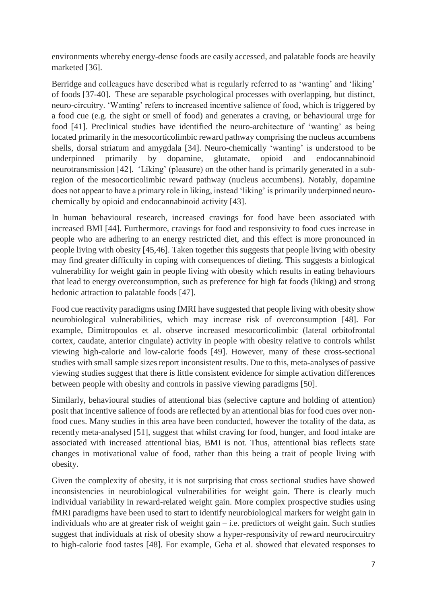environments whereby energy-dense foods are easily accessed, and palatable foods are heavily marketed [36].

Berridge and colleagues have described what is regularly referred to as 'wanting' and 'liking' of foods [37-40]. These are separable psychological processes with overlapping, but distinct, neuro-circuitry. 'Wanting' refers to increased incentive salience of food, which is triggered by a food cue (e.g. the sight or smell of food) and generates a craving, or behavioural urge for food [41]. Preclinical studies have identified the neuro-architecture of 'wanting' as being located primarily in the mesocorticolimbic reward pathway comprising the nucleus accumbens shells, dorsal striatum and amygdala [34]. Neuro-chemically 'wanting' is understood to be underpinned primarily by dopamine, glutamate, opioid and endocannabinoid neurotransmission [42]. 'Liking' (pleasure) on the other hand is primarily generated in a subregion of the mesocorticolimbic reward pathway (nucleus accumbens). Notably, dopamine does not appear to have a primary role in liking, instead 'liking' is primarily underpinned neurochemically by opioid and endocannabinoid activity [43].

In human behavioural research, increased cravings for food have been associated with increased BMI [44]. Furthermore, cravings for food and responsivity to food cues increase in people who are adhering to an energy restricted diet, and this effect is more pronounced in people living with obesity [45,46]. Taken together this suggests that people living with obesity may find greater difficulty in coping with consequences of dieting. This suggests a biological vulnerability for weight gain in people living with obesity which results in eating behaviours that lead to energy overconsumption, such as preference for high fat foods (liking) and strong hedonic attraction to palatable foods [47].

Food cue reactivity paradigms using fMRI have suggested that people living with obesity show neurobiological vulnerabilities, which may increase risk of overconsumption [48]. For example, Dimitropoulos et al. observe increased mesocorticolimbic (lateral orbitofrontal cortex, caudate, anterior cingulate) activity in people with obesity relative to controls whilst viewing high-calorie and low-calorie foods [49]. However, many of these cross-sectional studies with small sample sizes report inconsistent results. Due to this, meta-analyses of passive viewing studies suggest that there is little consistent evidence for simple activation differences between people with obesity and controls in passive viewing paradigms [50].

Similarly, behavioural studies of attentional bias (selective capture and holding of attention) posit that incentive salience of foods are reflected by an attentional bias for food cues over nonfood cues. Many studies in this area have been conducted, however the totality of the data, as recently meta-analysed [51], suggest that whilst craving for food, hunger, and food intake are associated with increased attentional bias, BMI is not. Thus, attentional bias reflects state changes in motivational value of food, rather than this being a trait of people living with obesity.

Given the complexity of obesity, it is not surprising that cross sectional studies have showed inconsistencies in neurobiological vulnerabilities for weight gain. There is clearly much individual variability in reward-related weight gain. More complex prospective studies using fMRI paradigms have been used to start to identify neurobiological markers for weight gain in individuals who are at greater risk of weight gain – i.e. predictors of weight gain. Such studies suggest that individuals at risk of obesity show a hyper-responsivity of reward neurocircuitry to high-calorie food tastes [48]. For example, Geha et al. showed that elevated responses to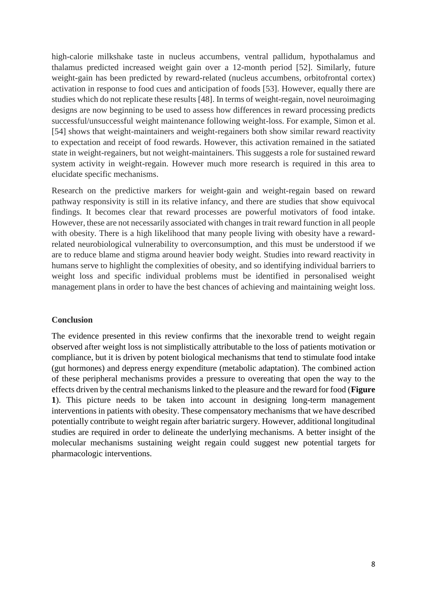high-calorie milkshake taste in nucleus accumbens, ventral pallidum, hypothalamus and thalamus predicted increased weight gain over a 12-month period [52]. Similarly, future weight-gain has been predicted by reward-related (nucleus accumbens, orbitofrontal cortex) activation in response to food cues and anticipation of foods [53]. However, equally there are studies which do not replicate these results [48]. In terms of weight-regain, novel neuroimaging designs are now beginning to be used to assess how differences in reward processing predicts successful/unsuccessful weight maintenance following weight-loss. For example, Simon et al. [54] shows that weight-maintainers and weight-regainers both show similar reward reactivity to expectation and receipt of food rewards. However, this activation remained in the satiated state in weight-regainers, but not weight-maintainers. This suggests a role for sustained reward system activity in weight-regain. However much more research is required in this area to elucidate specific mechanisms.

Research on the predictive markers for weight-gain and weight-regain based on reward pathway responsivity is still in its relative infancy, and there are studies that show equivocal findings. It becomes clear that reward processes are powerful motivators of food intake. However, these are not necessarily associated with changes in trait reward function in all people with obesity. There is a high likelihood that many people living with obesity have a rewardrelated neurobiological vulnerability to overconsumption, and this must be understood if we are to reduce blame and stigma around heavier body weight. Studies into reward reactivity in humans serve to highlight the complexities of obesity, and so identifying individual barriers to weight loss and specific individual problems must be identified in personalised weight management plans in order to have the best chances of achieving and maintaining weight loss.

#### **Conclusion**

The evidence presented in this review confirms that the inexorable trend to weight regain observed after weight loss is not simplistically attributable to the loss of patients motivation or compliance, but it is driven by potent biological mechanisms that tend to stimulate food intake (gut hormones) and depress energy expenditure (metabolic adaptation). The combined action of these peripheral mechanisms provides a pressure to overeating that open the way to the effects driven by the central mechanisms linked to the pleasure and the reward for food (**Figure 1**). This picture needs to be taken into account in designing long-term management interventions in patients with obesity. These compensatory mechanisms that we have described potentially contribute to weight regain after bariatric surgery. However, additional longitudinal studies are required in order to delineate the underlying mechanisms. A better insight of the molecular mechanisms sustaining weight regain could suggest new potential targets for pharmacologic interventions.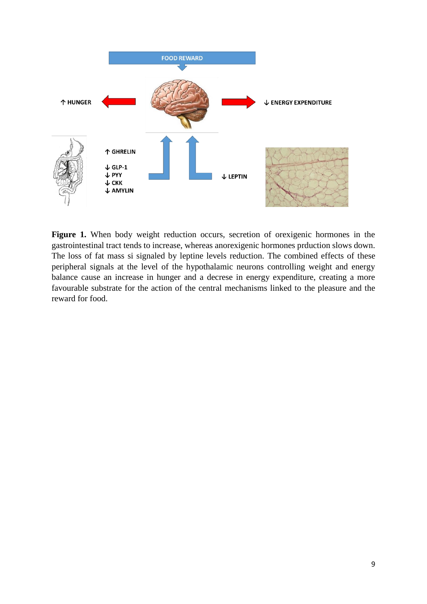

**Figure 1.** When body weight reduction occurs, secretion of orexigenic hormones in the gastrointestinal tract tends to increase, whereas anorexigenic hormones prduction slows down. The loss of fat mass si signaled by leptine levels reduction. The combined effects of these peripheral signals at the level of the hypothalamic neurons controlling weight and energy balance cause an increase in hunger and a decrese in energy expenditure, creating a more favourable substrate for the action of the central mechanisms linked to the pleasure and the reward for food.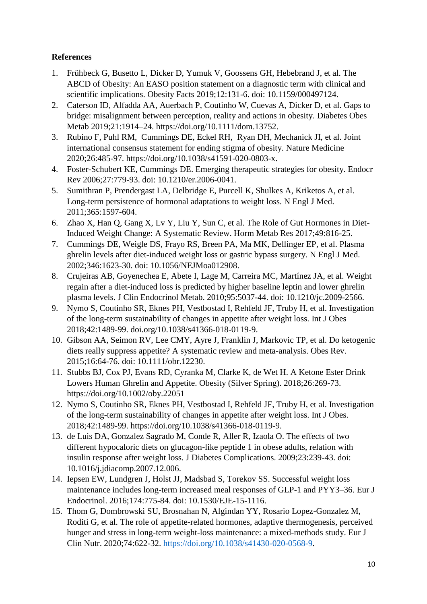# **References**

- 1. Frühbeck G, Busetto L, Dicker D, Yumuk V, Goossens GH, Hebebrand J, et al. The ABCD of Obesity: An EASO position statement on a diagnostic term with clinical and scientific implications. Obesity Facts 2019;12:131-6. doi: 10.1159/000497124.
- 2. Caterson ID, Alfadda AA, Auerbach P, Coutinho W, Cuevas A, Dicker D, et al. Gaps to bridge: misalignment between perception, reality and actions in obesity. Diabetes Obes Metab 2019;21:1914–24. https://doi.org/10.1111/dom.13752.
- 3. Rubino F, Puhl RM, Cummings DE, Eckel RH, Ryan DH, Mechanick JI, et al. Joint international consensus statement for ending stigma of obesity. Nature Medicine 2020;26:485-97. https://doi.org/10.1038/s41591-020-0803-x.
- 4. Foster-Schubert KE, Cummings DE. Emerging therapeutic strategies for obesity. Endocr Rev 2006;27:779-93. doi: 10.1210/er.2006-0041.
- 5. Sumithran P, Prendergast LA, Delbridge E, Purcell K, Shulkes A, Kriketos A, et al. Long-term persistence of hormonal adaptations to weight loss. N Engl J Med. 2011;365:1597-604.
- 6. Zhao X, Han Q, Gang X, Lv Y, Liu Y, Sun C, et al. The Role of Gut Hormones in Diet-Induced Weight Change: A Systematic Review. Horm Metab Res 2017;49:816-25.
- 7. Cummings DE, Weigle DS, Frayo RS, Breen PA, Ma MK, Dellinger EP, et al. Plasma ghrelin levels after diet-induced weight loss or gastric bypass surgery. N Engl J Med. 2002;346:1623-30. doi: 10.1056/NEJMoa012908.
- 8. Crujeiras AB, Goyenechea E, Abete I, Lage M, Carreira MC, Martínez JA, et al. Weight regain after a diet-induced loss is predicted by higher baseline leptin and lower ghrelin plasma levels. J Clin Endocrinol Metab. 2010;95:5037-44. doi: 10.1210/jc.2009-2566.
- 9. Nymo S, Coutinho SR, Eknes PH, Vestbostad I, Rehfeld JF, Truby H, et al. Investigation of the long-term sustainability of changes in appetite after weight loss. Int J Obes 2018;42:1489-99. doi.org/10.1038/s41366-018-0119-9.
- 10. Gibson AA, Seimon RV, Lee CMY, Ayre J, Franklin J, Markovic TP, et al. Do ketogenic diets really suppress appetite? A systematic review and meta-analysis. Obes Rev. 2015;16:64-76. doi: 10.1111/obr.12230.
- 11. Stubbs BJ, Cox PJ, Evans RD, Cyranka M, Clarke K, de Wet H. A Ketone Ester Drink Lowers Human Ghrelin and Appetite. Obesity (Silver Spring). 2018;26:269-73. https://doi.org/10.1002/oby.22051
- 12. Nymo S, Coutinho SR, Eknes PH, Vestbostad I, Rehfeld JF, Truby H, et al. Investigation of the long-term sustainability of changes in appetite after weight loss. Int J Obes. 2018;42:1489-99. https://doi.org/10.1038/s41366-018-0119-9.
- 13. de Luis DA, Gonzalez Sagrado M, Conde R, Aller R, Izaola O. The effects of two different hypocaloric diets on glucagon-like peptide 1 in obese adults, relation with insulin response after weight loss. J Diabetes Complications. 2009;23:239-43. doi: 10.1016/j.jdiacomp.2007.12.006.
- 14. Iepsen EW, Lundgren J, Holst JJ, Madsbad S, Torekov SS. Successful weight loss maintenance includes long-term increased meal responses of GLP-1 and PYY3–36. Eur J Endocrinol. 2016;174:775-84. doi: 10.1530/EJE-15-1116.
- 15. Thom G, Dombrowski SU, Brosnahan N, Algindan YY, Rosario Lopez-Gonzalez M, Roditi G, et al. The role of appetite-related hormones, adaptive thermogenesis, perceived hunger and stress in long-term weight-loss maintenance: a mixed-methods study. Eur J Clin Nutr. 2020;74:622-32. [https://doi.org/10.1038/s41430-020-0568-9.](https://doi.org/10.1038/s41430-020-0568-9)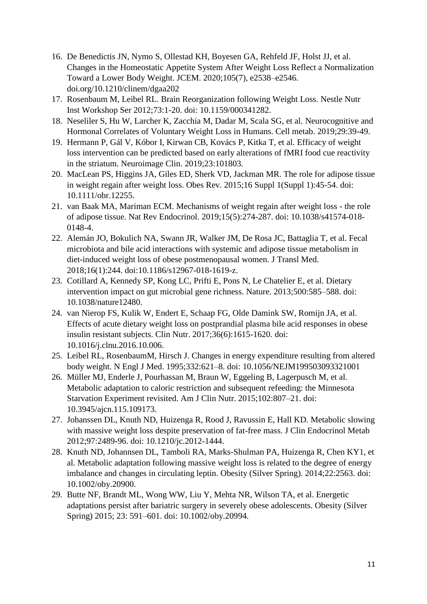- 16. De Benedictis JN, Nymo S, Ollestad KH, Boyesen GA, Rehfeld JF, Holst JJ, et al. Changes in the Homeostatic Appetite System After Weight Loss Reflect a Normalization Toward a Lower Body Weight. JCEM. 2020;105(7), e2538–e2546. doi.org/10.1210/clinem/dgaa202
- 17. Rosenbaum M, Leibel RL. Brain Reorganization following Weight Loss. Nestle Nutr Inst Workshop Ser 2012;73:1-20. doi: 10.1159/000341282.
- 18. Neseliler S, Hu W, Larcher K, Zacchia M, Dadar M, Scala SG, et al. Neurocognitive and Hormonal Correlates of Voluntary Weight Loss in Humans. Cell metab. 2019;29:39-49.
- 19. Hermann P, Gál V, Kóbor I, Kirwan CB, Kovács P, Kitka T, et al. Efficacy of weight loss intervention can be predicted based on early alterations of fMRI food cue reactivity in the striatum. Neuroimage Clin. 2019;23:101803.
- 20. MacLean PS, Higgins JA, Giles ED, Sherk VD, Jackman MR. The role for adipose tissue in weight regain after weight loss. Obes Rev. 2015;16 Suppl 1(Suppl 1):45-54. doi: 10.1111/obr.12255.
- 21. van Baak MA, Mariman ECM. Mechanisms of weight regain after weight loss the role of adipose tissue. Nat Rev Endocrinol. 2019;15(5):274-287. doi: 10.1038/s41574-018- 0148-4.
- 22. Alemán JO, Bokulich NA, Swann JR, Walker JM, De Rosa JC, Battaglia T, et al. Fecal microbiota and bile acid interactions with systemic and adipose tissue metabolism in diet-induced weight loss of obese postmenopausal women. J Transl Med. 2018;16(1):244. doi:10.1186/s12967-018-1619-z.
- 23. Cotillard A, Kennedy SP, Kong LC, Prifti E, Pons N, Le Chatelier E, et al. Dietary intervention impact on gut microbial gene richness. Nature. 2013;500:585–588. doi: 10.1038/nature12480.
- 24. van Nierop FS, Kulik W, Endert E, Schaap FG, Olde Damink SW, Romijn JA, et al. Effects of acute dietary weight loss on postprandial plasma bile acid responses in obese insulin resistant subjects. Clin Nutr. 2017;36(6):1615-1620. doi: 10.1016/j.clnu.2016.10.006.
- 25. Leibel RL, RosenbaumM, Hirsch J. Changes in energy expenditure resulting from altered body weight. N Engl J Med. 1995;332:621–8. doi: 10.1056/NEJM199503093321001
- 26. Müller MJ, Enderle J, Pourhassan M, Braun W, Eggeling B, Lagerpusch M, et al. Metabolic adaptation to caloric restriction and subsequent refeeding: the Minnesota Starvation Experiment revisited. Am J Clin Nutr. 2015;102:807–21. doi: 10.3945/ajcn.115.109173.
- 27. Johanssen DL, Knuth ND, Huizenga R, Rood J, Ravussin E, Hall KD. Metabolic slowing with massive weight loss despite preservation of fat-free mass. J Clin Endocrinol Metab 2012;97:2489-96. doi: 10.1210/jc.2012-1444.
- 28. Knuth ND, Johannsen DL, Tamboli RA, Marks-Shulman PA, Huizenga R, Chen KY1, et al. Metabolic adaptation following massive weight loss is related to the degree of energy imbalance and changes in circulating leptin. Obesity (Silver Spring). 2014;22:2563. doi: 10.1002/oby.20900.
- 29. Butte NF, Brandt ML, Wong WW, Liu Y, Mehta NR, Wilson TA, et al. Energetic adaptations persist after bariatric surgery in severely obese adolescents. Obesity (Silver Spring) 2015; 23: 591–601. doi: 10.1002/oby.20994.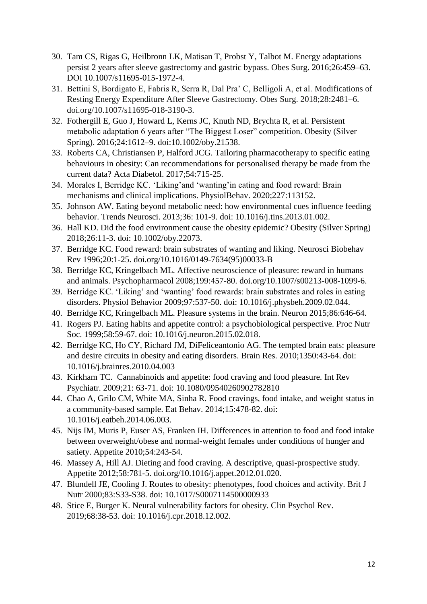- 30. Tam CS, Rigas G, Heilbronn LK, Matisan T, Probst Y, Talbot M. Energy adaptations persist 2 years after sleeve gastrectomy and gastric bypass. Obes Surg. 2016;26:459–63. DOI 10.1007/s11695-015-1972-4.
- 31. Bettini S, Bordigato E, Fabris R, Serra R, Dal Pra' C, Belligoli A, et al. Modifications of Resting Energy Expenditure After Sleeve Gastrectomy. Obes Surg. 2018;28:2481–6. doi.org/10.1007/s11695-018-3190-3.
- 32. Fothergill E, Guo J, Howard L, Kerns JC, Knuth ND, Brychta R, et al. Persistent metabolic adaptation 6 years after "The Biggest Loser" competition. Obesity (Silver Spring). 2016;24:1612–9. doi:10.1002/oby.21538.
- 33. Roberts CA, Christiansen P, Halford JCG. Tailoring pharmacotherapy to specific eating behaviours in obesity: Can recommendations for personalised therapy be made from the current data? Acta Diabetol. 2017;54:715-25.
- 34. Morales I, Berridge KC. 'Liking'and 'wanting'in eating and food reward: Brain mechanisms and clinical implications. PhysiolBehav. 2020;227:113152.
- 35. Johnson AW. Eating beyond metabolic need: how environmental cues influence feeding behavior. Trends Neurosci. 2013;36: 101-9. doi: 10.1016/j.tins.2013.01.002.
- 36. Hall KD. Did the food environment cause the obesity epidemic? Obesity (Silver Spring) 2018;26:11-3. doi: 10.1002/oby.22073.
- 37. Berridge KC. Food reward: brain substrates of wanting and liking. Neurosci Biobehav Rev 1996;20:1-25. doi.org/10.1016/0149-7634(95)00033-B
- 38. Berridge KC, Kringelbach ML. Affective neuroscience of pleasure: reward in humans and animals. Psychopharmacol 2008;199:457-80. doi.org/10.1007/s00213-008-1099-6.
- 39. Berridge KC. 'Liking' and 'wanting' food rewards: brain substrates and roles in eating disorders. Physiol Behavior 2009;97:537-50. doi: 10.1016/j.physbeh.2009.02.044.
- 40. Berridge KC, Kringelbach ML. Pleasure systems in the brain. Neuron 2015;86:646-64.
- 41. Rogers PJ. Eating habits and appetite control: a psychobiological perspective. Proc Nutr Soc. 1999;58:59-67. doi: 10.1016/j.neuron.2015.02.018.
- 42. Berridge KC, Ho CY, Richard JM, DiFeliceantonio AG. The tempted brain eats: pleasure and desire circuits in obesity and eating disorders. Brain Res. 2010;1350:43-64. doi: 10.1016/j.brainres.2010.04.003
- 43. Kirkham TC. Cannabinoids and appetite: food craving and food pleasure. Int Rev Psychiatr. 2009;21: 63-71. doi: 10.1080/09540260902782810
- 44. Chao A, Grilo CM, White MA, Sinha R. Food cravings, food intake, and weight status in a community-based sample. Eat Behav. 2014;15:478-82. doi: 10.1016/j.eatbeh.2014.06.003.
- 45. Nijs IM, Muris P, Euser AS, Franken IH. Differences in attention to food and food intake between overweight/obese and normal-weight females under conditions of hunger and satiety. Appetite 2010;54:243-54.
- 46. Massey A, Hill AJ. Dieting and food craving. A descriptive, quasi-prospective study. Appetite 2012;58:781-5. doi.org/10.1016/j.appet.2012.01.020.
- 47. Blundell JE, Cooling J. Routes to obesity: phenotypes, food choices and activity. Brit J Nutr 2000;83:S33-S38. doi: 10.1017/S0007114500000933
- 48. Stice E, Burger K. Neural vulnerability factors for obesity. Clin Psychol Rev. 2019;68:38-53. doi: 10.1016/j.cpr.2018.12.002.